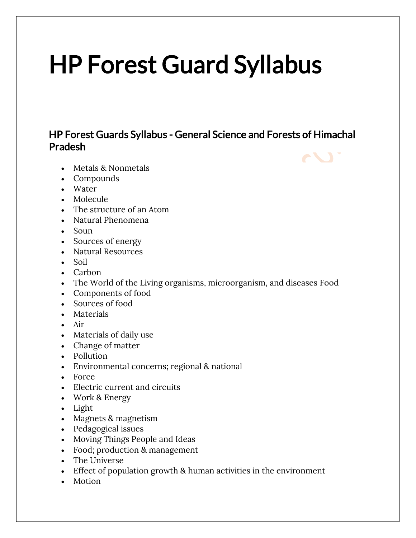# HP Forest Guard Syllabus

### HP Forest Guards Syllabus - General Science and Forests of Himachal Pradesh

- Metals & Nonmetals
- Compounds
- Water
- Molecule
- The structure of an Atom
- Natural Phenomena
- Soun
- Sources of energy
- Natural Resources
- Soil
- Carbon
- The World of the Living organisms, microorganism, and diseases Food
- Components of food
- Sources of food
- Materials
- Air
- Materials of daily use
- Change of matter
- Pollution
- Environmental concerns; regional & national
- Force
- Electric current and circuits
- Work & Energy
- Light
- Magnets & magnetism
- Pedagogical issues
- Moving Things People and Ideas
- Food; production & management
- The Universe
- Effect of population growth & human activities in the environment
- Motion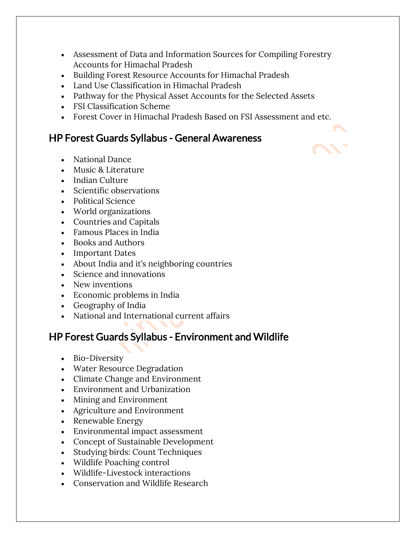- Assessment of Data and Information Sources for Compiling Forestry Accounts for Himachal Pradesh
- Building Forest Resource Accounts for Himachal Pradesh
- Land Use Classification in Himachal Pradesh
- Pathway for the Physical Asset Accounts for the Selected Assets
- FSI Classification Scheme
- Forest Cover in Himachal Pradesh Based on FSI Assessment and etc.

#### HP Forest Guards Syllabus - General Awareness

- National Dance
- Music & Literature
- Indian Culture
- Scientific observations
- Political Science
- World organizations
- Countries and Capitals
- Famous Places in India
- Books and Authors
- Important Dates
- About India and it's neighboring countries
- Science and innovations
- New inventions
- Economic problems in India
- Geography of India
- National and International current affairs

## HP Forest Guards Syllabus - Environment and Wildlife

- Bio-Diversity
- Water Resource Degradation
- Climate Change and Environment
- Environment and Urbanization
- Mining and Environment
- Agriculture and Environment
- Renewable Energy
- Environmental impact assessment
- Concept of Sustainable Development
- Studying birds: Count Techniques
- Wildlife Poaching control
- Wildlife-Livestock interactions
- Conservation and Wildlife Research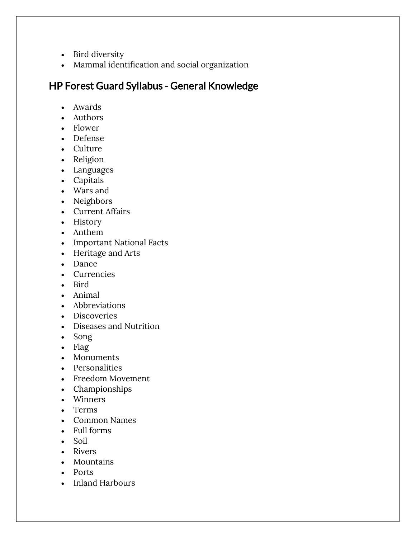- Bird diversity
- Mammal identification and social organization

# HP Forest Guard Syllabus - General Knowledge

- Awards
- Authors
- Flower
- Defense
- Culture
- Religion
- Languages
- Capitals
- Wars and
- Neighbors
- Current Affairs
- History
- Anthem
- Important National Facts
- Heritage and Arts
- Dance
- Currencies
- Bird
- Animal
- Abbreviations
- Discoveries
- Diseases and Nutrition
- Song
- Flag
- Monuments
- Personalities
- Freedom Movement
- Championships
- Winners
- Terms
- Common Names
- Full forms
- Soil
- Rivers
- Mountains
- Ports
- Inland Harbours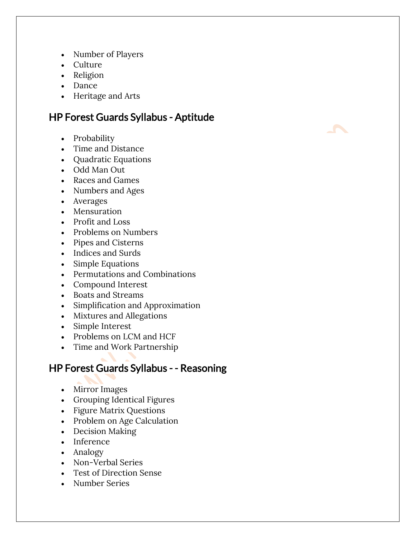- Number of Players
- Culture
- Religion
- Dance
- Heritage and Arts

#### HP Forest Guards Syllabus - Aptitude

- Probability
- Time and Distance
- Quadratic Equations
- Odd Man Out
- Races and Games
- Numbers and Ages
- Averages
- Mensuration
- Profit and Loss
- Problems on Numbers
- Pipes and Cisterns
- Indices and Surds
- Simple Equations
- Permutations and Combinations
- Compound Interest
- Boats and Streams
- Simplification and Approximation
- Mixtures and Allegations
- Simple Interest
- Problems on LCM and HCF
- Time and Work Partnership

#### HP Forest Guards Syllabus - - Reasoning

- Mirror Images
- Grouping Identical Figures
- Figure Matrix Questions
- Problem on Age Calculation
- Decision Making
- Inference
- Analogy
- Non-Verbal Series
- Test of Direction Sense
- Number Series